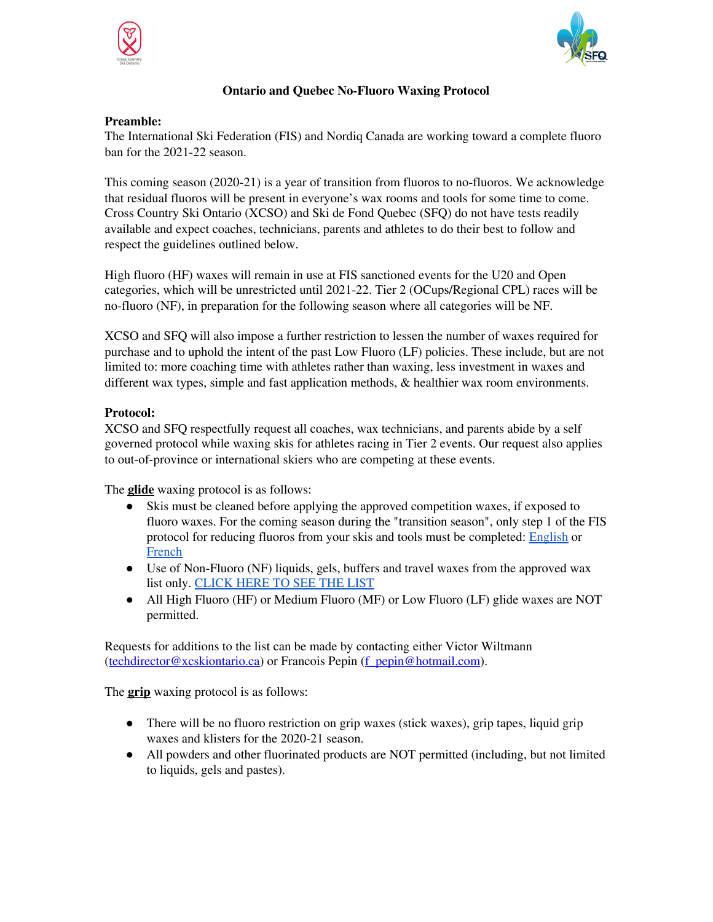



## **Ontario and Quebec No-Fluoro Waxing Protocol**

## **Preamble:**

The International Ski Federation (FIS) and Nordiq Canada are working toward a complete fluoro ban for the 2021-22 season.

This coming season (2020-21) is a year of transition from fluoros to no-fluoros. We acknowledge that residual fluoros will be present in everyone's wax rooms and tools for some time to come. Cross Country Ski Ontario (XCSO) and Ski de Fond Quebec (SFQ) do not have tests readily available and expect coaches, technicians, parents and athletes to do their best to follow and respect the guidelines outlined below.

High fluoro (HF) waxes will remain in use at FIS sanctioned events for the U20 and Open categories, which will be unrestricted until 2021-22. Tier 2 (OCups/Regional CPL) races will be no-fluoro (NF), in preparation for the following season where all categories will be NF.

XCSO and SFQ will also impose a further restriction to lessen the number of waxes required for purchase and to uphold the intent of the past Low Fluoro (LF) policies. These include, but are not limited to: more coaching time with athletes rather than waxing, less investment in waxes and different wax types, simple and fast application methods, & healthier wax room environments.

## **Protocol:**

XCSO and SFQ respectfully request all coaches, wax technicians, and parents abide by a self governed protocol while waxing skis for athletes racing in Tier 2 events. Our request also applies to out-of-province or international skiers who are competing at these events.

The **glide** waxing protocol is as follows:

- Skis must be cleaned before applying the approved competition waxes, if exposed to fluoro waxes. For the coming season during the "transition season", only step 1 of the FIS protocol for reducing fluoros from your skis and tools must be completed: [English](https://drive.google.com/file/d/1naycyB2BE7FPUe8rBbLUDQHJ5qu9sJZW/view?usp=sharing) or [French](https://drive.google.com/file/d/1146KNJ7afVhgnst0ygt2K0pVNfoweF32/view?usp=sharing)
- Use of Non-Fluoro (NF) liquids, gels, buffers and travel waxes from the approved wax list only. [CLICK](https://drive.google.com/file/d/1f0ctf1H8UMTBL_1pcM5pY9E9wRycSQkF/view?usp=sharing) HERE TO SEE THE LIST
- All High Fluoro (HF) or Medium Fluoro (MF) or Low Fluoro (LF) glide waxes are NOT permitted.

Requests for additions to the list can be made by contacting either Victor Wiltmann ([techdirector@xcskiontario.ca\)](mailto:techdirector@xcskiontario.ca) or Francois Pepin ([f\\_pepin@hotmail.com](mailto:f_pepin@hotmail.com)).

The **grip** waxing protocol is as follows:

- There will be no fluoro restriction on grip waxes (stick waxes), grip tapes, liquid grip waxes and klisters for the 2020-21 season.
- All powders and other fluorinated products are NOT permitted (including, but not limited to liquids, gels and pastes).